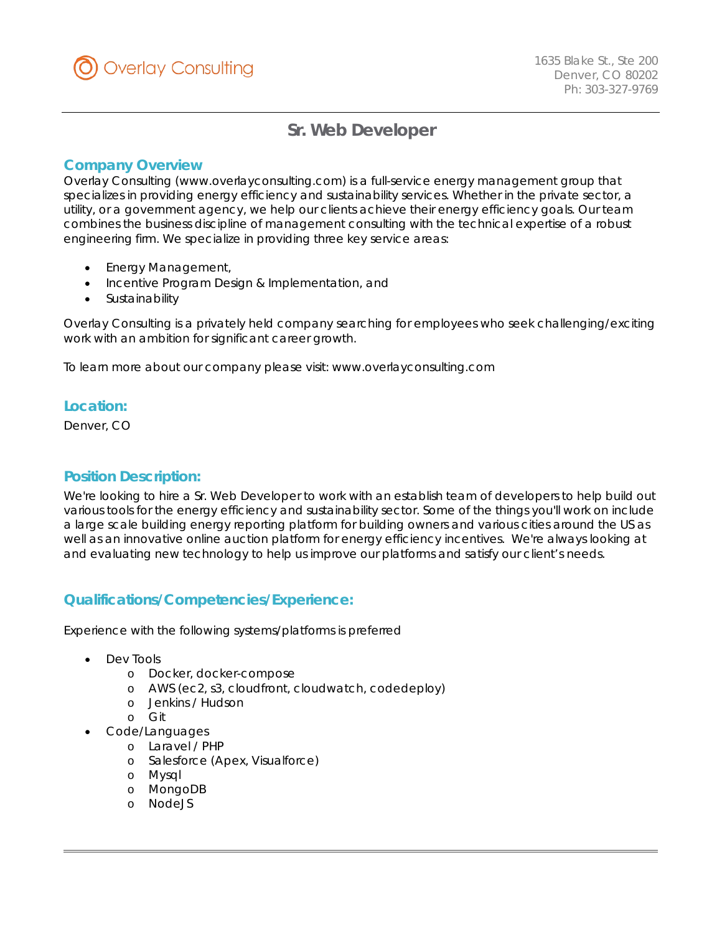

# **Sr. Web Developer**

## *Company Overview*

Overlay Consulting (www.overlayconsulting.com) is a full-service energy management group that specializes in providing energy efficiency and sustainability services. Whether in the private sector, a utility, or a government agency, we help our clients achieve their energy efficiency goals. Our team combines the business discipline of management consulting with the technical expertise of a robust engineering firm. We specialize in providing three key service areas:

- Energy Management,
- Incentive Program Design & Implementation, and
- **Sustainability**

Overlay Consulting is a privately held company searching for employees who seek challenging/exciting work with an ambition for significant career growth.

To learn more about our company please visit: www.overlayconsulting.com

### *Location:*

Denver, CO

## *Position Description:*

We're looking to hire a Sr. Web Developer to work with an establish team of developers to help build out various tools for the energy efficiency and sustainability sector. Some of the things you'll work on include a large scale building energy reporting platform for building owners and various cities around the US as well as an innovative online auction platform for energy efficiency incentives. We're always looking at and evaluating new technology to help us improve our platforms and satisfy our client's needs.

## *Qualifications/Competencies/Experience:*

Experience with the following systems/platforms is preferred

- Dev Tools
	- o Docker, docker-compose
	- o AWS (ec2, s3, cloudfront, cloudwatch, codedeploy)
	- o Jenkins / Hudson
	- o Git
	- Code/Languages
		- o Laravel / PHP
		- o Salesforce (Apex, Visualforce)
		- o Mysql
		- o MongoDB
		- o NodeJS